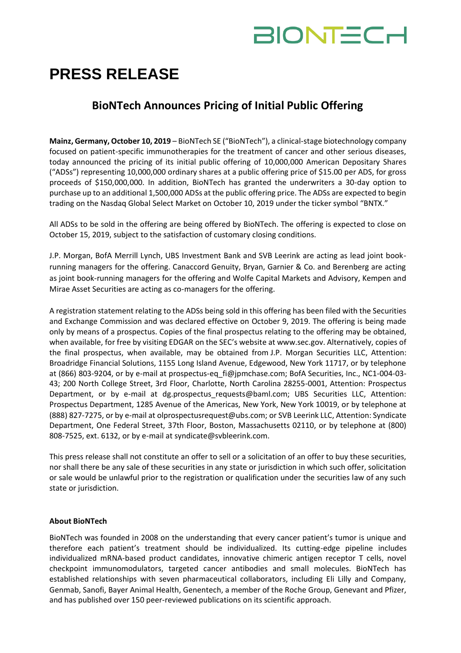# **BIONTECH**

## **PRESS RELEASE**

### **BioNTech Announces Pricing of Initial Public Offering**

**Mainz, Germany, October 10, 2019** – BioNTech SE ("BioNTech"), a clinical-stage biotechnology company focused on patient-specific immunotherapies for the treatment of cancer and other serious diseases, today announced the pricing of its initial public offering of 10,000,000 American Depositary Shares ("ADSs") representing 10,000,000 ordinary shares at a public offering price of \$15.00 per ADS, for gross proceeds of \$150,000,000. In addition, BioNTech has granted the underwriters a 30-day option to purchase up to an additional 1,500,000 ADSs at the public offering price. The ADSs are expected to begin trading on the Nasdaq Global Select Market on October 10, 2019 under the ticker symbol "BNTX."

All ADSs to be sold in the offering are being offered by BioNTech. The offering is expected to close on October 15, 2019, subject to the satisfaction of customary closing conditions.

J.P. Morgan, BofA Merrill Lynch, UBS Investment Bank and SVB Leerink are acting as lead joint bookrunning managers for the offering. Canaccord Genuity, Bryan, Garnier & Co. and Berenberg are acting as joint book-running managers for the offering and Wolfe Capital Markets and Advisory, Kempen and Mirae Asset Securities are acting as co-managers for the offering.

A registration statement relating to the ADSs being sold in this offering has been filed with the Securities and Exchange Commission and was declared effective on October 9, 2019. The offering is being made only by means of a prospectus. Copies of the final prospectus relating to the offering may be obtained, when available, for free by visiting EDGAR on the SEC's website at www.sec.gov. Alternatively, copies of the final prospectus, when available, may be obtained from J.P. Morgan Securities LLC, Attention: Broadridge Financial Solutions, 1155 Long Island Avenue, Edgewood, New York 11717, or by telephone at (866) 803-9204, or by e-mail at prospectus-eq\_fi@jpmchase.com; BofA Securities, Inc., NC1-004-03- 43; 200 North College Street, 3rd Floor, Charlotte, North Carolina 28255-0001, Attention: Prospectus Department, or by e-mail at dg.prospectus\_requests@baml.com; UBS Securities LLC, Attention: Prospectus Department, 1285 Avenue of the Americas, New York, New York 10019, or by telephone at (888) 827-7275, or by e-mail at olprospectusrequest@ubs.com; or SVB Leerink LLC, Attention: Syndicate Department, One Federal Street, 37th Floor, Boston, Massachusetts 02110, or by telephone at (800) 808-7525, ext. 6132, or by e-mail at syndicate@svbleerink.com.

This press release shall not constitute an offer to sell or a solicitation of an offer to buy these securities, nor shall there be any sale of these securities in any state or jurisdiction in which such offer, solicitation or sale would be unlawful prior to the registration or qualification under the securities law of any such state or jurisdiction.

#### **About BioNTech**

BioNTech was founded in 2008 on the understanding that every cancer patient's tumor is unique and therefore each patient's treatment should be individualized. Its cutting-edge pipeline includes individualized mRNA-based product candidates, innovative chimeric antigen receptor T cells, novel checkpoint immunomodulators, targeted cancer antibodies and small molecules. BioNTech has established relationships with seven pharmaceutical collaborators, including Eli Lilly and Company, Genmab, Sanofi, Bayer Animal Health, Genentech, a member of the Roche Group, Genevant and Pfizer, and has published over 150 peer-reviewed publications on its scientific approach.